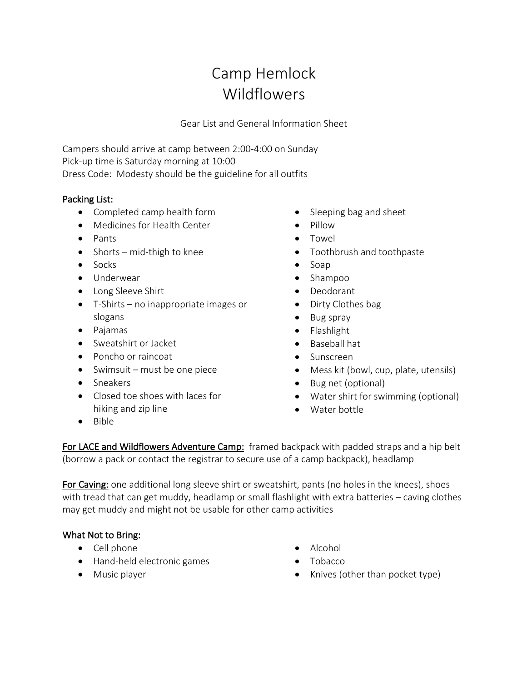# Camp Hemlock Wildflowers

Gear List and General Information Sheet

Campers should arrive at camp between 2:00-4:00 on Sunday Pick-up time is Saturday morning at 10:00 Dress Code: Modesty should be the guideline for all outfits

### Packing List:

- Completed camp health form
- Medicines for Health Center
- Pants
- Shorts mid-thigh to knee
- Socks
- Underwear
- Long Sleeve Shirt
- T-Shirts no inappropriate images or slogans
- Pajamas
- Sweatshirt or Jacket
- Poncho or raincoat
- Swimsuit must be one piece
- Sneakers
- Closed toe shoes with laces for hiking and zip line
- Sleeping bag and sheet
- Pillow
- Towel
- Toothbrush and toothpaste
- Soap
- Shampoo
- Deodorant
- Dirty Clothes bag
- Bug spray
- Flashlight
- Baseball hat
- Sunscreen
- Mess kit (bowl, cup, plate, utensils)
- Bug net (optional)
- Water shirt for swimming (optional)
- Water bottle

• Bible

For LACE and Wildflowers Adventure Camp: framed backpack with padded straps and a hip belt (borrow a pack or contact the registrar to secure use of a camp backpack), headlamp

For Caving: one additional long sleeve shirt or sweatshirt, pants (no holes in the knees), shoes with tread that can get muddy, headlamp or small flashlight with extra batteries – caving clothes may get muddy and might not be usable for other camp activities

# What Not to Bring:

- Cell phone
- Hand-held electronic games
- Music player
- Alcohol
- Tobacco
- Knives (other than pocket type)